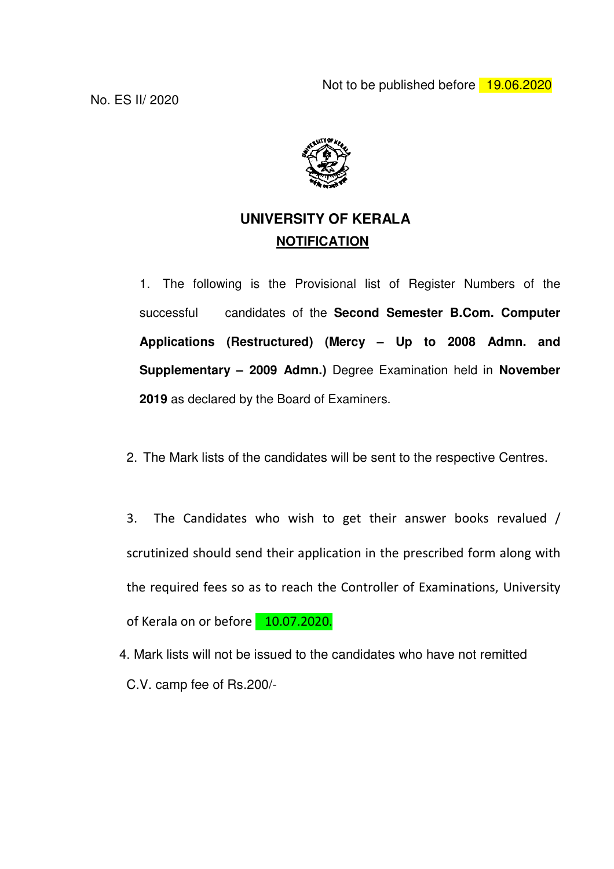Not to be published before 19.06.2020



# **UNIVERSITY OF KERALA NOTIFICATION**

1. The following is the Provisional list of Register Numbers of the successful candidates of the **Second Semester B.Com. Computer Applications (Restructured) (Mercy – Up to 2008 Admn. and Supplementary – 2009 Admn.)** Degree Examination held in **November 2019** as declared by the Board of Examiners.

2. The Mark lists of the candidates will be sent to the respective Centres.

3. The Candidates who wish to get their answer books revalued / scrutinized should send their application in the prescribed form along with the required fees so as to reach the Controller of Examinations, University of Kerala on or before 10.07.2020.

 4. Mark lists will not be issued to the candidates who have not remitted C.V. camp fee of Rs.200/-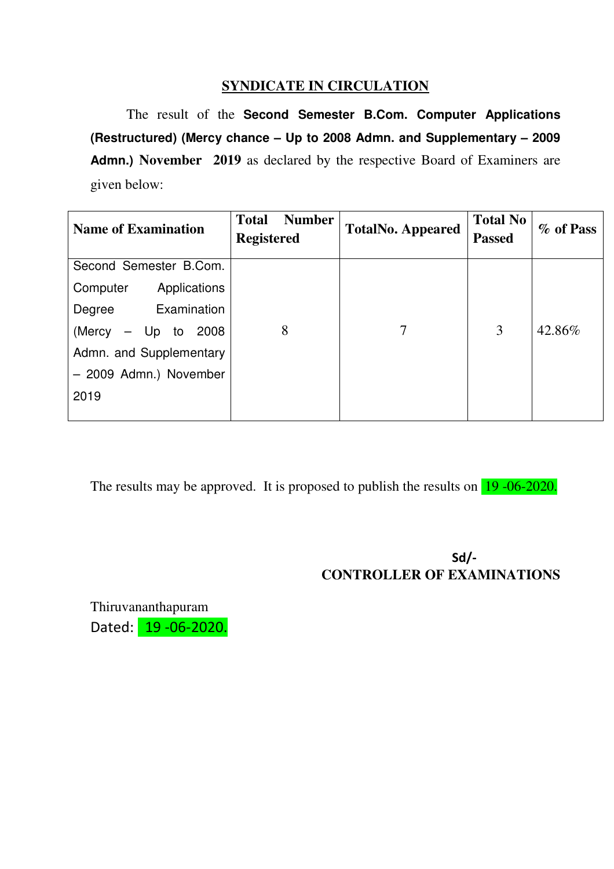## **SYNDICATE IN CIRCULATION**

 The result of the **Second Semester B.Com. Computer Applications (Restructured) (Mercy chance – Up to 2008 Admn. and Supplementary – 2009 Admn.) November 2019** as declared by the respective Board of Examiners are given below:

| <b>Name of Examination</b> | <b>Number</b><br><b>Total</b><br><b>Registered</b> | <b>TotalNo. Appeared</b> | <b>Total No</b><br><b>Passed</b> | % of Pass |
|----------------------------|----------------------------------------------------|--------------------------|----------------------------------|-----------|
| Second Semester B.Com.     |                                                    |                          |                                  |           |
| Applications<br>Computer   |                                                    |                          |                                  |           |
| Examination<br>Degree      |                                                    |                          |                                  |           |
| (Mercy<br>$-$ Up to 2008   | 8                                                  | 7                        | 3                                | 42.86%    |
| Admn. and Supplementary    |                                                    |                          |                                  |           |
| - 2009 Admn.) November     |                                                    |                          |                                  |           |
| 2019                       |                                                    |                          |                                  |           |
|                            |                                                    |                          |                                  |           |

The results may be approved. It is proposed to publish the results on 19 -06-2020.

# Sd/- **CONTROLLER OF EXAMINATIONS**

Thiruvananthapuram Dated: 19 - 06 - 2020.